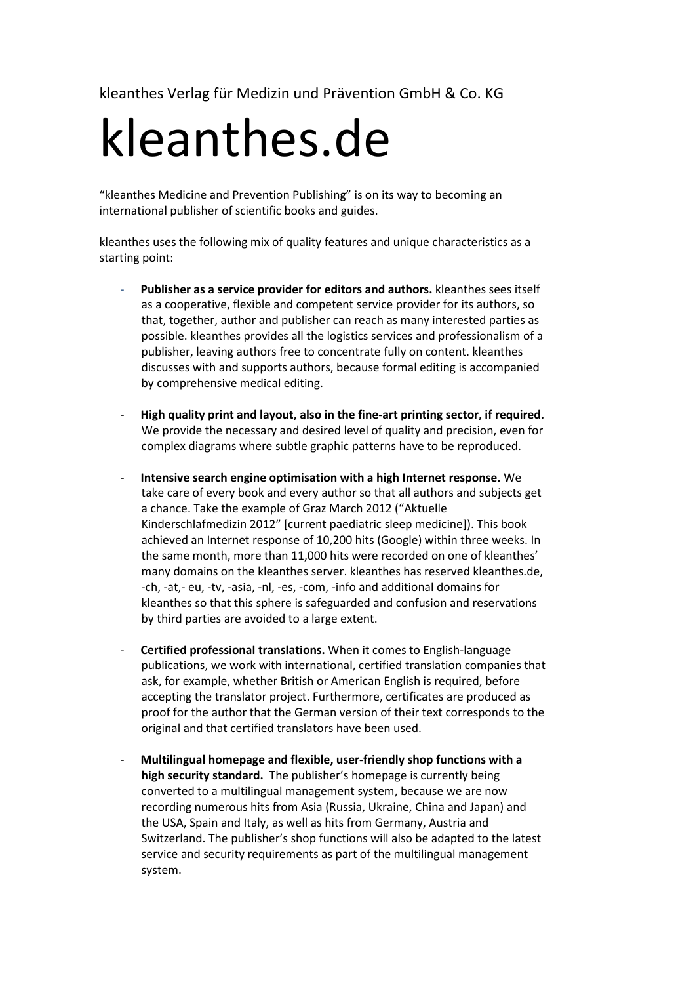kleanthes Verlag für Medizin und Prävention GmbH & Co. KG

## kleanthes.de

"kleanthes Medicine and Prevention Publishing" is on its way to becoming an international publisher of scientific books and guides.

kleanthes uses the following mix of quality features and unique characteristics as a starting point:

- Publisher as a service provider for editors and authors. **kleanthes sees itself** as a cooperative, flexible and competent service provider for its authors, so that, together, author and publisher can reach as many interested parties as possible. kleanthes provides all the logistics services and professionalism of a publisher, leaving authors free to concentrate fully on content. kleanthes discusses with and supports authors, because formal editing is accompanied by comprehensive medical editing.
- **High quality print and layout, also in the fine-art printing sector, if required.** We provide the necessary and desired level of quality and precision, even for complex diagrams where subtle graphic patterns have to be reproduced.
- **Intensive search engine optimisation with a high Internet response.** We take care of every book and every author so that all authors and subjects get a chance. Take the example of Graz March 2012 ("Aktuelle Kinderschlafmedizin 2012" [current paediatric sleep medicine]). This book achieved an Internet response of 10,200 hits (Google) within three weeks. In the same month, more than 11,000 hits were recorded on one of kleanthes' many domains on the kleanthes server. kleanthes has reserved kleanthes.de, -ch, -at,- eu, -tv, -asia, -nl, -es, -com, -info and additional domains for kleanthes so that this sphere is safeguarded and confusion and reservations by third parties are avoided to a large extent.
- **Certified professional translations.** When it comes to English-language publications, we work with international, certified translation companies that ask, for example, whether British or American English is required, before accepting the translator project. Furthermore, certificates are produced as proof for the author that the German version of their text corresponds to the original and that certified translators have been used.
- **Multilingual homepage and flexible, user-friendly shop functions with a high security standard.** The publisher's homepage is currently being converted to a multilingual management system, because we are now recording numerous hits from Asia (Russia, Ukraine, China and Japan) and the USA, Spain and Italy, as well as hits from Germany, Austria and Switzerland. The publisher's shop functions will also be adapted to the latest service and security requirements as part of the multilingual management system.